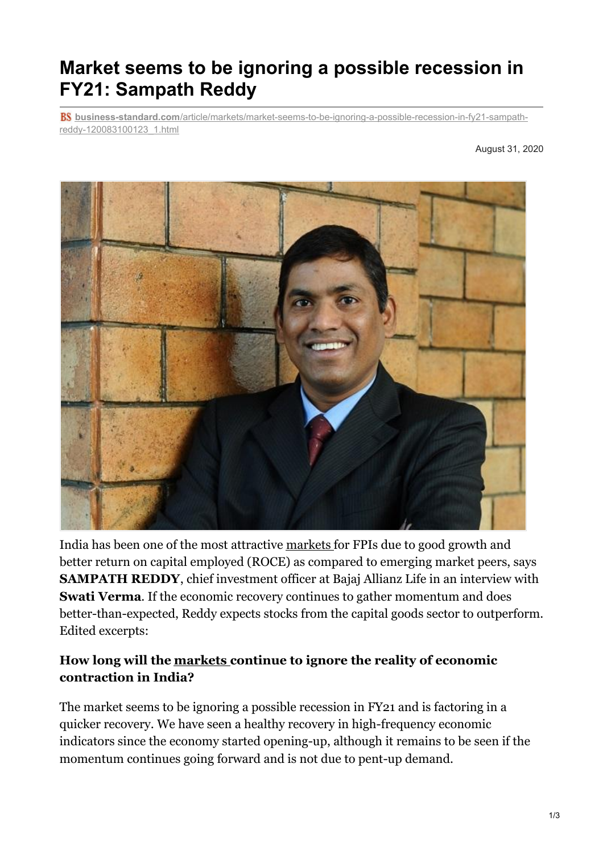# **Market seems to be ignoring a possible recession in FY21: Sampath Reddy**

**business-standard.com**[/article/markets/market-seems-to-be-ignoring-a-possible-recession-in-fy21-sampath](https://www.business-standard.com/article/markets/market-seems-to-be-ignoring-a-possible-recession-in-fy21-sampath-reddy-120083100123_1.html)reddy-120083100123\_1.html

August 31, 2020



India has been one of the most attractive [markets](https://www.business-standard.com/markets) for FPIs due to good growth and better return on capital employed (ROCE) as compared to emerging market peers, says **SAMPATH REDDY**, chief investment officer at Bajaj Allianz Life in an interview with **Swati Verma**. If the economic recovery continues to gather momentum and does better-than-expected, Reddy expects stocks from the capital goods sector to outperform. Edited excerpts:

## **How long will the [markets](https://www.business-standard.com/markets) continue to ignore the reality of economic contraction in India?**

The market seems to be ignoring a possible recession in FY21 and is factoring in a quicker recovery. We have seen a healthy recovery in high-frequency economic indicators since the economy started opening-up, although it remains to be seen if the momentum continues going forward and is not due to pent-up demand.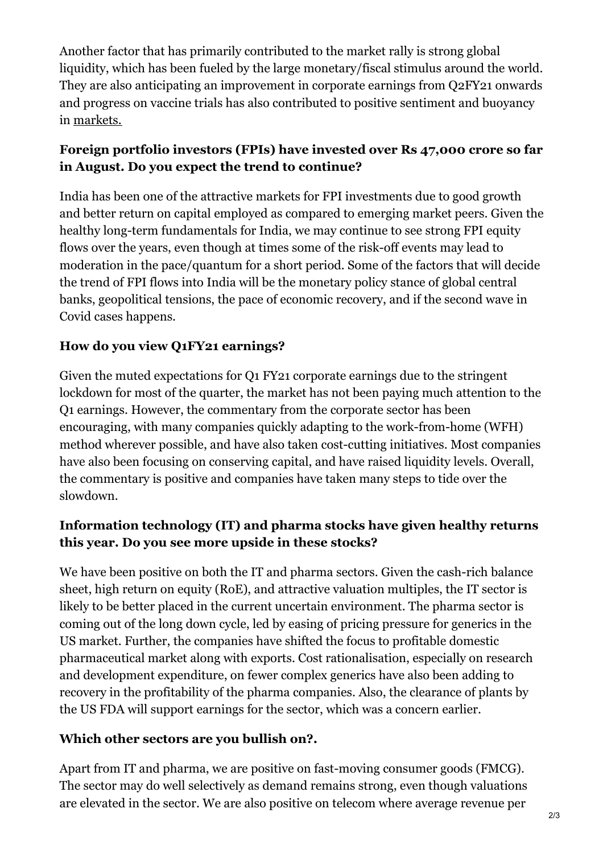Another factor that has primarily contributed to the market rally is strong global liquidity, which has been fueled by the large monetary/fiscal stimulus around the world. They are also anticipating an improvement in corporate earnings from Q2FY21 onwards and progress on vaccine trials has also contributed to positive sentiment and buoyancy in [markets.](https://www.business-standard.com/markets)

## **Foreign portfolio investors (FPIs) have invested over Rs 47,000 crore so far in August. Do you expect the trend to continue?**

India has been one of the attractive markets for FPI investments due to good growth and better return on capital employed as compared to emerging market peers. Given the healthy long-term fundamentals for India, we may continue to see strong FPI equity flows over the years, even though at times some of the risk-off events may lead to moderation in the pace/quantum for a short period. Some of the factors that will decide the trend of FPI flows into India will be the monetary policy stance of global central banks, geopolitical tensions, the pace of economic recovery, and if the second wave in Covid cases happens.

# **How do you view Q1FY21 earnings?**

Given the muted expectations for Q1 FY21 corporate earnings due to the stringent lockdown for most of the quarter, the market has not been paying much attention to the Q1 earnings. However, the commentary from the corporate sector has been encouraging, with many companies quickly adapting to the work-from-home (WFH) method wherever possible, and have also taken cost-cutting initiatives. Most companies have also been focusing on conserving capital, and have raised liquidity levels. Overall, the commentary is positive and companies have taken many steps to tide over the slowdown.

## **Information technology (IT) and pharma stocks have given healthy returns this year. Do you see more upside in these stocks?**

We have been positive on both the IT and pharma sectors. Given the cash-rich balance sheet, high return on equity (RoE), and attractive valuation multiples, the IT sector is likely to be better placed in the current uncertain environment. The pharma sector is coming out of the long down cycle, led by easing of pricing pressure for generics in the US market. Further, the companies have shifted the focus to profitable domestic pharmaceutical market along with exports. Cost rationalisation, especially on research and development expenditure, on fewer complex generics have also been adding to recovery in the profitability of the pharma companies. Also, the clearance of plants by the US FDA will support earnings for the sector, which was a concern earlier.

## **Which other sectors are you bullish on?.**

Apart from IT and pharma, we are positive on fast-moving consumer goods (FMCG). The sector may do well selectively as demand remains strong, even though valuations are elevated in the sector. We are also positive on telecom where average revenue per